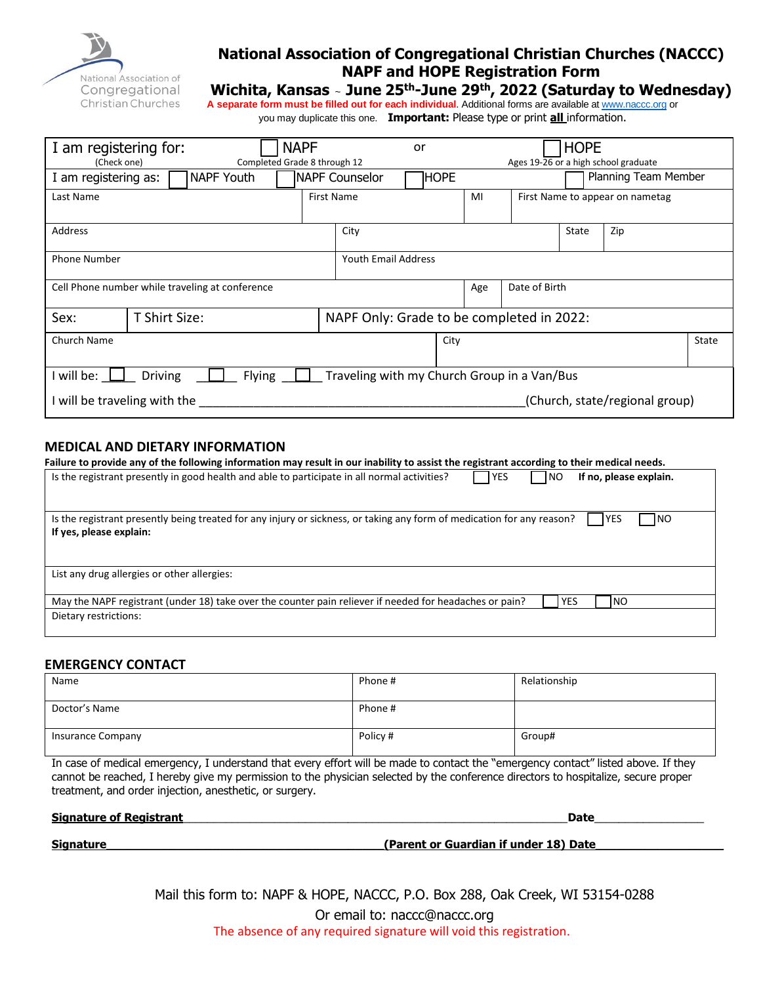

### **National Association of Congregational Christian Churches (NACCC) NAPF and HOPE Registration Form**

### **Wichita, Kansas** <sup>~</sup> **June 25 th-June 29th , 2022 (Saturday to Wednesday)**

**A separate form must be filled out for each individual**. Additional forms are available a[t www.naccc.org](http://www.naccc.org/) or you may duplicate this one. **Important:** Please type or print **all** information.

| I am registering for:<br>Completed Grade 8 through 12<br>(Check one)                           |  | <b>NAPF</b> |                       | or                                        | <b>HOPE</b><br>Ages 19-26 or a high school graduate |     |               |                      |       |  |
|------------------------------------------------------------------------------------------------|--|-------------|-----------------------|-------------------------------------------|-----------------------------------------------------|-----|---------------|----------------------|-------|--|
| <b>NAPF Youth</b><br>I am registering as:                                                      |  |             | <b>NAPF Counselor</b> | <b>HOPE</b>                               |                                                     |     |               | Planning Team Member |       |  |
| Last Name                                                                                      |  |             | <b>First Name</b>     |                                           | MI<br>First Name to appear on nametag               |     |               |                      |       |  |
| Address                                                                                        |  |             | City                  |                                           |                                                     |     | State         | Zip                  |       |  |
| <b>Phone Number</b>                                                                            |  |             |                       |                                           | <b>Youth Email Address</b>                          |     |               |                      |       |  |
| Cell Phone number while traveling at conference                                                |  |             |                       |                                           |                                                     | Age | Date of Birth |                      |       |  |
| Sex:<br>T Shirt Size:                                                                          |  |             |                       | NAPF Only: Grade to be completed in 2022: |                                                     |     |               |                      |       |  |
| Church Name                                                                                    |  |             |                       | City                                      |                                                     |     |               |                      | State |  |
| Traveling with my Church Group in a Van/Bus<br><b>Driving</b><br><b>Flying</b><br>I will be: L |  |             |                       |                                           |                                                     |     |               |                      |       |  |
| (Church, state/regional group)<br>I will be traveling with the                                 |  |             |                       |                                           |                                                     |     |               |                      |       |  |

#### **MEDICAL AND DIETARY INFORMATION**

| Failure to provide any of the following information may result in our inability to assist the registrant according to their medical needs.                                    |  |  |  |  |  |
|-------------------------------------------------------------------------------------------------------------------------------------------------------------------------------|--|--|--|--|--|
| Is the registrant presently in good health and able to participate in all normal activities?<br><b>IYES</b><br>If no, please explain.<br><b>INO</b>                           |  |  |  |  |  |
| Is the registrant presently being treated for any injury or sickness, or taking any form of medication for any reason?<br><b>YES</b><br><b>INO</b><br>If yes, please explain: |  |  |  |  |  |
| List any drug allergies or other allergies:                                                                                                                                   |  |  |  |  |  |
| May the NAPF registrant (under 18) take over the counter pain reliever if needed for headaches or pain?<br>INO.<br><b>YES</b><br>Dietary restrictions:                        |  |  |  |  |  |
|                                                                                                                                                                               |  |  |  |  |  |

#### **EMERGENCY CONTACT**

| Name                     | Phone #  | Relationship |
|--------------------------|----------|--------------|
| Doctor's Name            | Phone #  |              |
| <b>Insurance Company</b> | Policy # | Group#       |

In case of medical emergency, I understand that every effort will be made to contact the "emergency contact" listed above. If they cannot be reached, I hereby give my permission to the physician selected by the conference directors to hospitalize, secure proper treatment, and order injection, anesthetic, or surgery.

**Signature of Registrant**\_\_\_\_\_\_\_\_\_\_\_\_\_\_\_\_\_\_\_\_\_\_\_\_\_\_\_\_\_\_\_\_\_\_\_\_\_\_\_\_\_\_\_\_\_\_\_\_\_\_\_\_\_\_\_\_\_\_\_\_\_\_\_**Date**\_\_\_\_\_\_\_\_\_\_\_\_\_\_\_\_\_\_

**Signature Signature Signature (Parent or Guardian if under 18) Date** 

Mail this form to: NAPF & HOPE, NACCC, P.O. Box 288, Oak Creek, WI 53154-0288 Or email to: naccc@naccc.org The absence of any required signature will void this registration.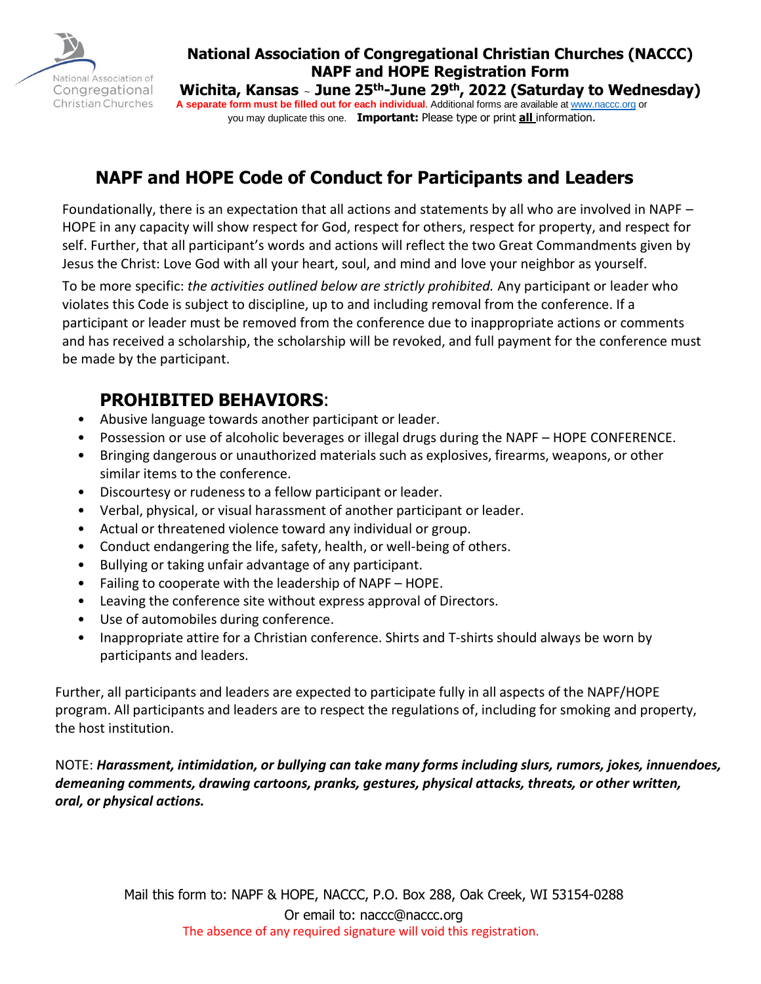

### **National Association of Congregational Christian Churches (NACCC) NAPF and HOPE Registration Form**

**Wichita, Kansas** <sup>~</sup> **June 25 th-June 29th , 2022 (Saturday to Wednesday) A separate form must be filled out for each individual**. Additional forms are available a[t www.naccc.org](http://www.naccc.org/) or you may duplicate this one. **Important:** Please type or print **all** information.

# **NAPF and HOPE Code of Conduct for Participants and Leaders**

Foundationally, there is an expectation that all actions and statements by all who are involved in NAPF – HOPE in any capacity will show respect for God, respect for others, respect for property, and respect for self. Further, that all participant's words and actions will reflect the two Great Commandments given by Jesus the Christ: Love God with all your heart, soul, and mind and love your neighbor as yourself.

To be more specific: *the activities outlined below are strictly prohibited.* Any participant or leader who violates this Code is subject to discipline, up to and including removal from the conference. If a participant or leader must be removed from the conference due to inappropriate actions or comments and has received a scholarship, the scholarship will be revoked, and full payment for the conference must be made by the participant.

### **PROHIBITED BEHAVIORS**:

- Abusive language towards another participant or leader.
- Possession or use of alcoholic beverages or illegal drugs during the NAPF HOPE CONFERENCE.
- Bringing dangerous or unauthorized materials such as explosives, firearms, weapons, or other similar items to the conference.
- Discourtesy or rudenessto a fellow participant or leader.
- Verbal, physical, or visual harassment of another participant or leader.
- Actual or threatened violence toward any individual or group.
- Conduct endangering the life, safety, health, or well-being of others.
- Bullying or taking unfair advantage of any participant.
- Failing to cooperate with the leadership of NAPF HOPE.
- Leaving the conference site without express approval of Directors.
- Use of automobiles during conference.
- Inappropriate attire for a Christian conference. Shirts and T-shirts should always be worn by participants and leaders.

Further, all participants and leaders are expected to participate fully in all aspects of the NAPF/HOPE program. All participants and leaders are to respect the regulations of, including for smoking and property, the host institution.

NOTE: *Harassment, intimidation, or bullying can take many forms including slurs, rumors, jokes, innuendoes, demeaning comments, drawing cartoons, pranks, gestures, physical attacks, threats, or other written, oral, or physical actions.*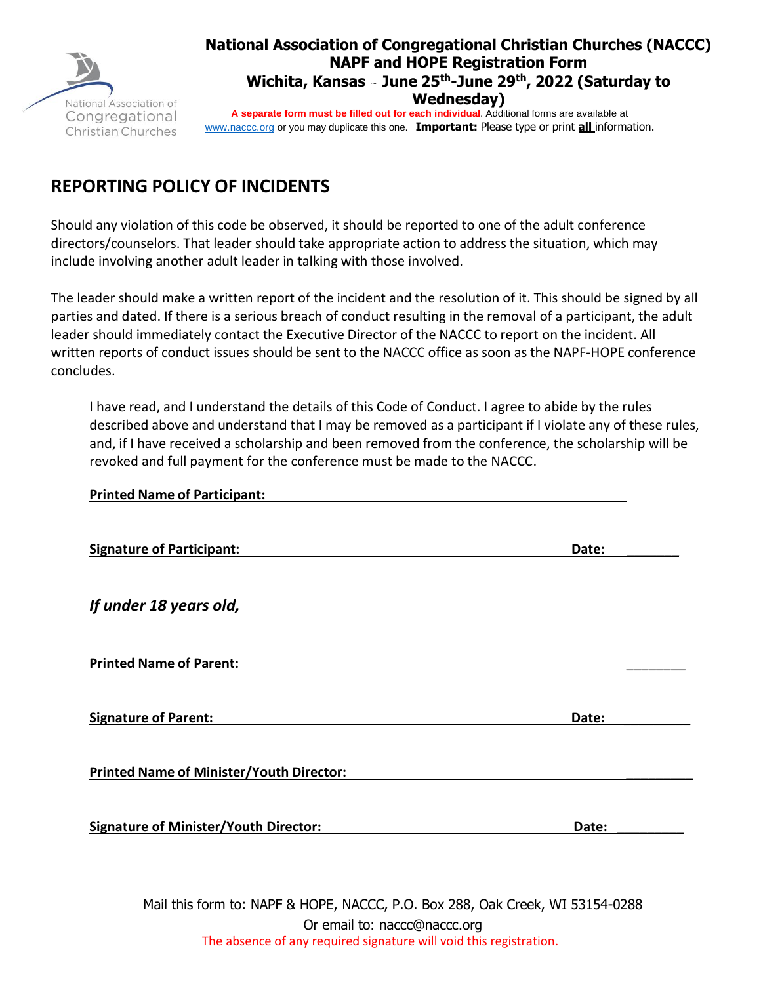

### **National Association of Congregational Christian Churches (NACCC) NAPF and HOPE Registration Form Wichita, Kansas** <sup>~</sup> **June 25 th-June 29th , 2022 (Saturday to Wednesday)**

**A separate form must be filled out for each individual**. Additional forms are available at [www.naccc.org](http://www.naccc.org/) or you may duplicate this one. **Important:** Please type or print **all** information.

# **REPORTING POLICY OF INCIDENTS**

Should any violation of this code be observed, it should be reported to one of the adult conference directors/counselors. That leader should take appropriate action to address the situation, which may include involving another adult leader in talking with those involved.

The leader should make a written report of the incident and the resolution of it. This should be signed by all parties and dated. If there is a serious breach of conduct resulting in the removal of a participant, the adult leader should immediately contact the Executive Director of the NACCC to report on the incident. All written reports of conduct issues should be sent to the NACCC office as soon as the NAPF-HOPE conference concludes.

I have read, and I understand the details of this Code of Conduct. I agree to abide by the rules described above and understand that I may be removed as a participant if I violate any of these rules, and, if I have received a scholarship and been removed from the conference, the scholarship will be revoked and full payment for the conference must be made to the NACCC.

| <b>Printed Name of Participant:</b>                                                                                                                                                                                                                                                                                                |       |
|------------------------------------------------------------------------------------------------------------------------------------------------------------------------------------------------------------------------------------------------------------------------------------------------------------------------------------|-------|
| <b>Signature of Participant:</b>                                                                                                                                                                                                                                                                                                   | Date: |
| If under 18 years old,                                                                                                                                                                                                                                                                                                             |       |
| <b>Printed Name of Parent:</b>                                                                                                                                                                                                                                                                                                     |       |
| <b>Signature of Parent:</b>                                                                                                                                                                                                                                                                                                        | Date: |
| <b>Printed Name of Minister/Youth Director:</b>                                                                                                                                                                                                                                                                                    |       |
| <b>Signature of Minister/Youth Director:</b>                                                                                                                                                                                                                                                                                       | Date: |
| $\mathbf{A}$ $\mathbf{B}$ $\mathbf{A}$ $\mathbf{B}$ $\mathbf{A}$ $\mathbf{B}$ $\mathbf{A}$ $\mathbf{B}$ $\mathbf{A}$ $\mathbf{B}$ $\mathbf{A}$ $\mathbf{B}$ $\mathbf{A}$ $\mathbf{B}$ $\mathbf{A}$ $\mathbf{B}$ $\mathbf{B}$ $\mathbf{B}$ $\mathbf{A}$ $\mathbf{B}$ $\mathbf{A}$ $\mathbf{B}$ $\mathbf{A}$ $\mathbf{B}$ $\mathbf{$ |       |

Mail this form to: NAPF & HOPE, NACCC, P.O. Box 288, Oak Creek, WI 53154-0288 Or email to: naccc@naccc.org The absence of any required signature will void this registration.